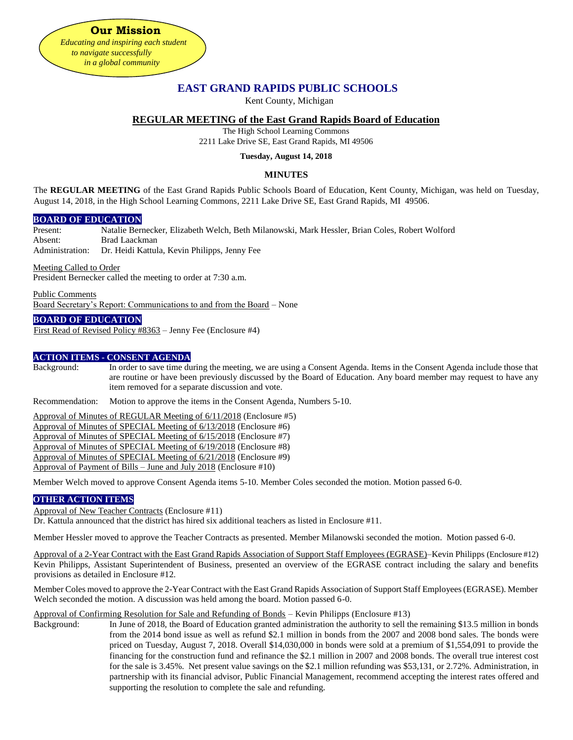**Our Mission** *Educating and inspiring each student to navigate successfully in a global community*

# **EAST GRAND RAPIDS PUBLIC SCHOOLS**

Kent County, Michigan

# **REGULAR MEETING of the East Grand Rapids Board of Education**

The High School Learning Commons

2211 Lake Drive SE, East Grand Rapids, MI 49506

#### **Tuesday, August 14, 2018**

# **MINUTES**

The **REGULAR MEETING** of the East Grand Rapids Public Schools Board of Education, Kent County, Michigan, was held on Tuesday, August 14, 2018, in the High School Learning Commons, 2211 Lake Drive SE, East Grand Rapids, MI 49506.

# **BOARD OF EDUCATION**

Present: Natalie Bernecker, Elizabeth Welch, Beth Milanowski, Mark Hessler, Brian Coles, Robert Wolford Absent: Brad Laackman

Administration: Dr. Heidi Kattula, Kevin Philipps, Jenny Fee

Meeting Called to Order

President Bernecker called the meeting to order at 7:30 a.m.

Public Comments Board Secretary's Report: Communications to and from the Board – None

# **BOARD OF EDUCATION**

First Read of Revised Policy #8363 – Jenny Fee (Enclosure #4)

# **ACTION ITEMS - CONSENT AGENDA**

Background: In order to save time during the meeting, we are using a Consent Agenda. Items in the Consent Agenda include those that are routine or have been previously discussed by the Board of Education. Any board member may request to have any item removed for a separate discussion and vote.

Recommendation: Motion to approve the items in the Consent Agenda, Numbers 5-10.

Approval of Minutes of REGULAR Meeting of 6/11/2018 (Enclosure #5)

Approval of Minutes of SPECIAL Meeting of 6/13/2018 (Enclosure #6)

Approval of Minutes of SPECIAL Meeting of 6/15/2018 (Enclosure #7)

Approval of Minutes of SPECIAL Meeting of 6/19/2018 (Enclosure #8)

Approval of Minutes of SPECIAL Meeting of 6/21/2018 (Enclosure #9)

Approval of Payment of Bills – June and July 2018 (Enclosure #10)

Member Welch moved to approve Consent Agenda items 5-10. Member Coles seconded the motion. Motion passed 6-0.

#### **OTHER ACTION ITEMS**

Approval of New Teacher Contracts (Enclosure #11)

Dr. Kattula announced that the district has hired six additional teachers as listed in Enclosure #11.

Member Hessler moved to approve the Teacher Contracts as presented. Member Milanowski seconded the motion. Motion passed 6-0.

Approval of a 2-Year Contract with the East Grand Rapids Association of Support Staff Employees (EGRASE)–Kevin Philipps (Enclosure #12) Kevin Philipps, Assistant Superintendent of Business, presented an overview of the EGRASE contract including the salary and benefits provisions as detailed in Enclosure #12.

Member Coles moved to approve the 2-Year Contract with the East Grand Rapids Association of Support Staff Employees (EGRASE). Member Welch seconded the motion. A discussion was held among the board. Motion passed 6-0.

#### Approval of Confirming Resolution for Sale and Refunding of Bonds – Kevin Philipps (Enclosure #13)

Background: In June of 2018, the Board of Education granted administration the authority to sell the remaining \$13.5 million in bonds from the 2014 bond issue as well as refund \$2.1 million in bonds from the 2007 and 2008 bond sales. The bonds were priced on Tuesday, August 7, 2018. Overall \$14,030,000 in bonds were sold at a premium of \$1,554,091 to provide the financing for the construction fund and refinance the \$2.1 million in 2007 and 2008 bonds. The overall true interest cost for the sale is 3.45%. Net present value savings on the \$2.1 million refunding was \$53,131, or 2.72%. Administration, in partnership with its financial advisor, Public Financial Management, recommend accepting the interest rates offered and supporting the resolution to complete the sale and refunding.